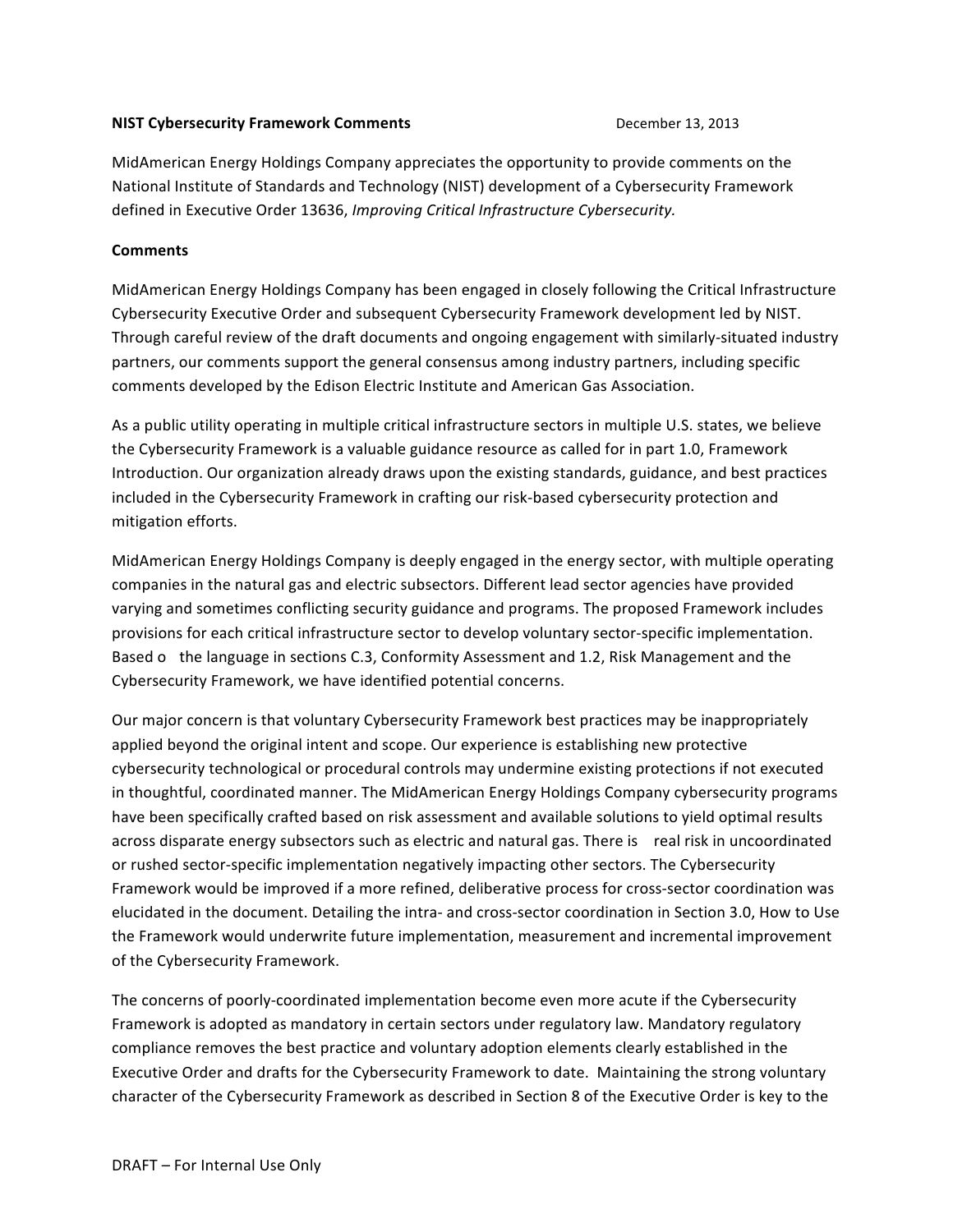## **NIST Cybersecurity Framework Comments Comments** December 13, 2013

MidAmerican Energy Holdings Company appreciates the opportunity to provide comments on the National Institute of Standards and Technology (NIST) development of a Cybersecurity Framework defined in Executive Order 13636, *Improving Critical Infrastructure Cybersecurity*.

## **Comments**

MidAmerican Energy Holdings Company has been engaged in closely following the Critical Infrastructure Cybersecurity Executive Order and subsequent Cybersecurity Framework development led by NIST. Through careful review of the draft documents and ongoing engagement with similarly-situated industry partners, our comments support the general consensus among industry partners, including specific comments developed by the Edison Electric Institute and American Gas Association.

As a public utility operating in multiple critical infrastructure sectors in multiple U.S. states, we believe the Cybersecurity Framework is a valuable guidance resource as called for in part 1.0, Framework Introduction. Our organization already draws upon the existing standards, guidance, and best practices included in the Cybersecurity Framework in crafting our risk-based cybersecurity protection and mitigation efforts.

MidAmerican Energy Holdings Company is deeply engaged in the energy sector, with multiple operating companies in the natural gas and electric subsectors. Different lead sector agencies have provided varying and sometimes conflicting security guidance and programs. The proposed Framework includes provisions for each critical infrastructure sector to develop voluntary sector-specific implementation. Based o the language in sections C.3, Conformity Assessment and 1.2, Risk Management and the Cybersecurity Framework, we have identified potential concerns.

Our major concern is that voluntary Cybersecurity Framework best practices may be inappropriately applied beyond the original intent and scope. Our experience is establishing new protective cybersecurity technological or procedural controls may undermine existing protections if not executed in thoughtful, coordinated manner. The MidAmerican Energy Holdings Company cybersecurity programs have been specifically crafted based on risk assessment and available solutions to yield optimal results across disparate energy subsectors such as electric and natural gas. There is real risk in uncoordinated or rushed sector-specific implementation negatively impacting other sectors. The Cybersecurity Framework would be improved if a more refined, deliberative process for cross-sector coordination was elucidated in the document. Detailing the intra- and cross-sector coordination in Section 3.0, How to Use the Framework would underwrite future implementation, measurement and incremental improvement of the Cybersecurity Framework. 

The concerns of poorly-coordinated implementation become even more acute if the Cybersecurity Framework is adopted as mandatory in certain sectors under regulatory law. Mandatory regulatory compliance removes the best practice and voluntary adoption elements clearly established in the Executive Order and drafts for the Cybersecurity Framework to date. Maintaining the strong voluntary character of the Cybersecurity Framework as described in Section 8 of the Executive Order is key to the